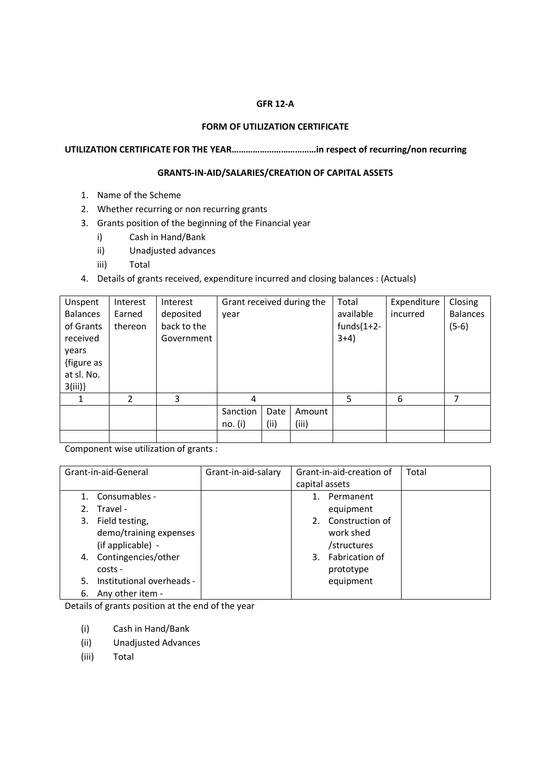## **GFR 12-A**

## **FORM OF UTILIZATION CERTIFICATE**

**UTILIZATION CERTIFICATE FOR THE YEAR………………………………in respect of recurring/non recurring** 

## **GRANTS-IN-AID/SALARIES/CREATION OF CAPITAL ASSETS**

- 1. Name of the Scheme
- 2. Whether recurring or non recurring grants
- 3. Grants position of the beginning of the Financial year
	- i) Cash in Hand/Bank
	- ii) Unadjusted advances
	- iii) Total
- 4. Details of grants received, expenditure incurred and closing balances : (Actuals)

| Unspent         | Interest       | Interest    | Grant received during the |      |        | Total          | Expenditure | Closing         |
|-----------------|----------------|-------------|---------------------------|------|--------|----------------|-------------|-----------------|
| <b>Balances</b> | Earned         | deposited   | year                      |      |        | available      | incurred    | <b>Balances</b> |
| of Grants       | thereon        | back to the |                           |      |        | funds $(1+2-)$ |             | $(5-6)$         |
| received        |                | Government  |                           |      |        | $3+4)$         |             |                 |
| years           |                |             |                           |      |        |                |             |                 |
| {figure as      |                |             |                           |      |        |                |             |                 |
| at sl. No.      |                |             |                           |      |        |                |             |                 |
| 3(iii)          |                |             |                           |      |        |                |             |                 |
|                 | $\mathfrak{p}$ | 3           | 4                         |      |        | 5              | 6           | 7               |
|                 |                |             | Sanction                  | Date | Amount |                |             |                 |
|                 |                |             | no. (i)                   | (ii) | (iii)  |                |             |                 |
|                 |                |             |                           |      |        |                |             |                 |

Component wise utilization of grants :

| Grant-in-aid-General |                           | Grant-in-aid-salary | Grant-in-aid-creation of |                       | Total |
|----------------------|---------------------------|---------------------|--------------------------|-----------------------|-------|
|                      |                           |                     | capital assets           |                       |       |
|                      | 1. Consumables -          |                     |                          | Permanent             |       |
| 2.                   | Travel -                  |                     |                          | equipment             |       |
|                      | 3. Field testing,         |                     | 2.                       | Construction of       |       |
|                      | demo/training expenses    |                     |                          | work shed             |       |
|                      | (if applicable) -         |                     |                          | /structures           |       |
|                      | 4. Contingencies/other    |                     | 3.                       | <b>Fabrication of</b> |       |
|                      | costs -                   |                     |                          | prototype             |       |
| 5.                   | Institutional overheads - |                     |                          | equipment             |       |
| 6.                   | Any other item -          |                     |                          |                       |       |

Details of grants position at the end of the year

- (i) Cash in Hand/Bank
- (ii) Unadjusted Advances
- (iii) Total